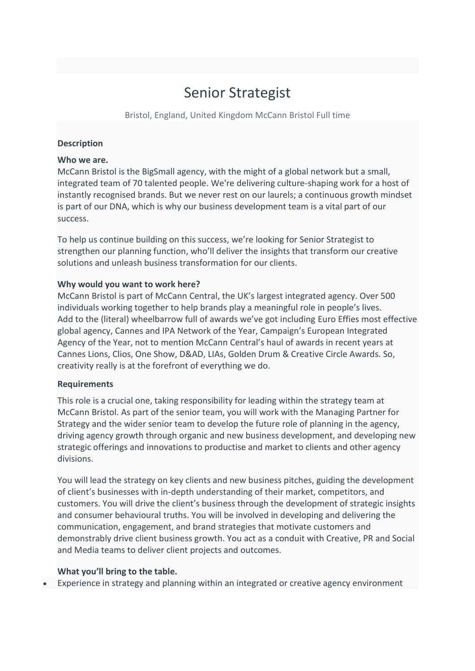# Senior Strategist

Bristol, England, United Kingdom McCann Bristol Full time

### **Description**

## **Who we are.**

McCann Bristol is the BigSmall agency, with the might of a global network but a small, integrated team of 70 talented people. We're delivering culture-shaping work for a host of instantly recognised brands. But we never rest on our laurels; a continuous growth mindset is part of our DNA, which is why our business development team is a vital part of our success.

To help us continue building on this success, we're looking for Senior Strategist to strengthen our planning function, who'll deliver the insights that transform our creative solutions and unleash business transformation for our clients.

### **Why would you want to work here?**

McCann Bristol is part of McCann Central, the UK's largest integrated agency. Over 500 individuals working together to help brands play a meaningful role in people's lives. Add to the (literal) wheelbarrow full of awards we've got including Euro Effies most effective global agency, Cannes and IPA Network of the Year, Campaign's European Integrated Agency of the Year, not to mention McCann Central's haul of awards in recent years at Cannes Lions, Clios, One Show, D&AD, LIAs, Golden Drum & Creative Circle Awards. So, creativity really is at the forefront of everything we do.

#### **Requirements**

This role is a crucial one, taking responsibility for leading within the strategy team at McCann Bristol. As part of the senior team, you will work with the Managing Partner for Strategy and the wider senior team to develop the future role of planning in the agency, driving agency growth through organic and new business development, and developing new strategic offerings and innovations to productise and market to clients and other agency divisions.

You will lead the strategy on key clients and new business pitches, guiding the development of client's businesses with in-depth understanding of their market, competitors, and customers. You will drive the client's business through the development of strategic insights and consumer behavioural truths. You will be involved in developing and delivering the communication, engagement, and brand strategies that motivate customers and demonstrably drive client business growth. You act as a conduit with Creative, PR and Social and Media teams to deliver client projects and outcomes.

#### **What you'll bring to the table.**

Experience in strategy and planning within an integrated or creative agency environment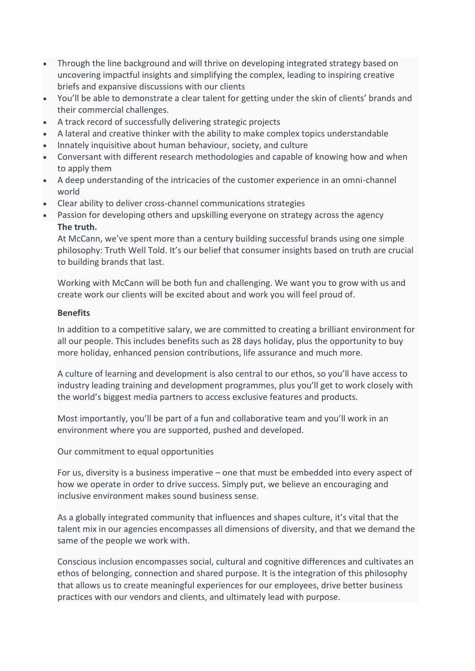- Through the line background and will thrive on developing integrated strategy based on uncovering impactful insights and simplifying the complex, leading to inspiring creative briefs and expansive discussions with our clients
- You'll be able to demonstrate a clear talent for getting under the skin of clients' brands and their commercial challenges.
- A track record of successfully delivering strategic projects
- A lateral and creative thinker with the ability to make complex topics understandable
- Innately inquisitive about human behaviour, society, and culture
- Conversant with different research methodologies and capable of knowing how and when to apply them
- A deep understanding of the intricacies of the customer experience in an omni-channel world
- Clear ability to deliver cross-channel communications strategies
- Passion for developing others and upskilling everyone on strategy across the agency **The truth.**

At McCann, we've spent more than a century building successful brands using one simple philosophy: Truth Well Told. It's our belief that consumer insights based on truth are crucial to building brands that last.

Working with McCann will be both fun and challenging. We want you to grow with us and create work our clients will be excited about and work you will feel proud of.

## **Benefits**

In addition to a competitive salary, we are committed to creating a brilliant environment for all our people. This includes benefits such as 28 days holiday, plus the opportunity to buy more holiday, enhanced pension contributions, life assurance and much more.

A culture of learning and development is also central to our ethos, so you'll have access to industry leading training and development programmes, plus you'll get to work closely with the world's biggest media partners to access exclusive features and products.

Most importantly, you'll be part of a fun and collaborative team and you'll work in an environment where you are supported, pushed and developed.

Our commitment to equal opportunities

For us, diversity is a business imperative – one that must be embedded into every aspect of how we operate in order to drive success. Simply put, we believe an encouraging and inclusive environment makes sound business sense.

As a globally integrated community that influences and shapes culture, it's vital that the talent mix in our agencies encompasses all dimensions of diversity, and that we demand the same of the people we work with.

Conscious inclusion encompasses social, cultural and cognitive differences and cultivates an ethos of belonging, connection and shared purpose. It is the integration of this philosophy that allows us to create meaningful experiences for our employees, drive better business practices with our vendors and clients, and ultimately lead with purpose.